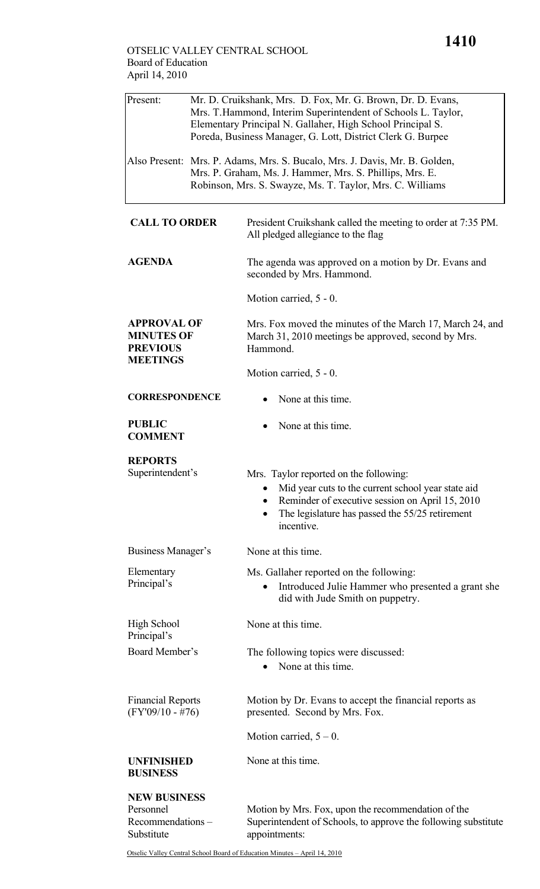## OTSELIC VALLEY CENTRAL SCHOOL Board of Education April 14, 2010

| Present:                                                                      | Mr. D. Cruikshank, Mrs. D. Fox, Mr. G. Brown, Dr. D. Evans,<br>Mrs. T. Hammond, Interim Superintendent of Schools L. Taylor,<br>Elementary Principal N. Gallaher, High School Principal S.<br>Poreda, Business Manager, G. Lott, District Clerk G. Burpee |                                                                                                                                                                                                                               |  |
|-------------------------------------------------------------------------------|-----------------------------------------------------------------------------------------------------------------------------------------------------------------------------------------------------------------------------------------------------------|-------------------------------------------------------------------------------------------------------------------------------------------------------------------------------------------------------------------------------|--|
|                                                                               | Also Present: Mrs. P. Adams, Mrs. S. Bucalo, Mrs. J. Davis, Mr. B. Golden,<br>Mrs. P. Graham, Ms. J. Hammer, Mrs. S. Phillips, Mrs. E.<br>Robinson, Mrs. S. Swayze, Ms. T. Taylor, Mrs. C. Williams                                                       |                                                                                                                                                                                                                               |  |
| <b>CALL TO ORDER</b>                                                          |                                                                                                                                                                                                                                                           | President Cruikshank called the meeting to order at 7:35 PM.<br>All pledged allegiance to the flag                                                                                                                            |  |
| <b>AGENDA</b>                                                                 |                                                                                                                                                                                                                                                           | The agenda was approved on a motion by Dr. Evans and<br>seconded by Mrs. Hammond.                                                                                                                                             |  |
|                                                                               |                                                                                                                                                                                                                                                           | Motion carried, 5 - 0.                                                                                                                                                                                                        |  |
| <b>APPROVAL OF</b><br><b>MINUTES OF</b><br><b>PREVIOUS</b><br><b>MEETINGS</b> |                                                                                                                                                                                                                                                           | Mrs. Fox moved the minutes of the March 17, March 24, and<br>March 31, 2010 meetings be approved, second by Mrs.<br>Hammond.                                                                                                  |  |
|                                                                               |                                                                                                                                                                                                                                                           | Motion carried, 5 - 0.                                                                                                                                                                                                        |  |
| <b>CORRESPONDENCE</b>                                                         |                                                                                                                                                                                                                                                           | None at this time.                                                                                                                                                                                                            |  |
| <b>PUBLIC</b><br><b>COMMENT</b>                                               |                                                                                                                                                                                                                                                           | None at this time.                                                                                                                                                                                                            |  |
| <b>REPORTS</b><br>Superintendent's                                            |                                                                                                                                                                                                                                                           | Mrs. Taylor reported on the following:<br>Mid year cuts to the current school year state aid<br>Reminder of executive session on April 15, 2010<br>The legislature has passed the 55/25 retirement<br>$\bullet$<br>incentive. |  |
| Business Manager's                                                            |                                                                                                                                                                                                                                                           | None at this time.                                                                                                                                                                                                            |  |
| Elementary<br>Principal's                                                     |                                                                                                                                                                                                                                                           | Ms. Gallaher reported on the following:<br>Introduced Julie Hammer who presented a grant she<br>did with Jude Smith on puppetry.                                                                                              |  |
| <b>High School</b><br>Principal's                                             |                                                                                                                                                                                                                                                           | None at this time.                                                                                                                                                                                                            |  |
| Board Member's                                                                |                                                                                                                                                                                                                                                           | The following topics were discussed:<br>None at this time.                                                                                                                                                                    |  |
| <b>Financial Reports</b><br>$(FY'09/10 - #76)$                                |                                                                                                                                                                                                                                                           | Motion by Dr. Evans to accept the financial reports as<br>presented. Second by Mrs. Fox.                                                                                                                                      |  |
|                                                                               |                                                                                                                                                                                                                                                           | Motion carried, $5 - 0$ .                                                                                                                                                                                                     |  |
| <b>UNFINISHED</b><br><b>BUSINESS</b>                                          |                                                                                                                                                                                                                                                           | None at this time.                                                                                                                                                                                                            |  |
| <b>NEW BUSINESS</b><br>Personnel<br>Recommendations-<br>Substitute            |                                                                                                                                                                                                                                                           | Motion by Mrs. Fox, upon the recommendation of the<br>Superintendent of Schools, to approve the following substitute<br>appointments:                                                                                         |  |

Otselic Valley Central School Board of Education Minutes – April 14, 2010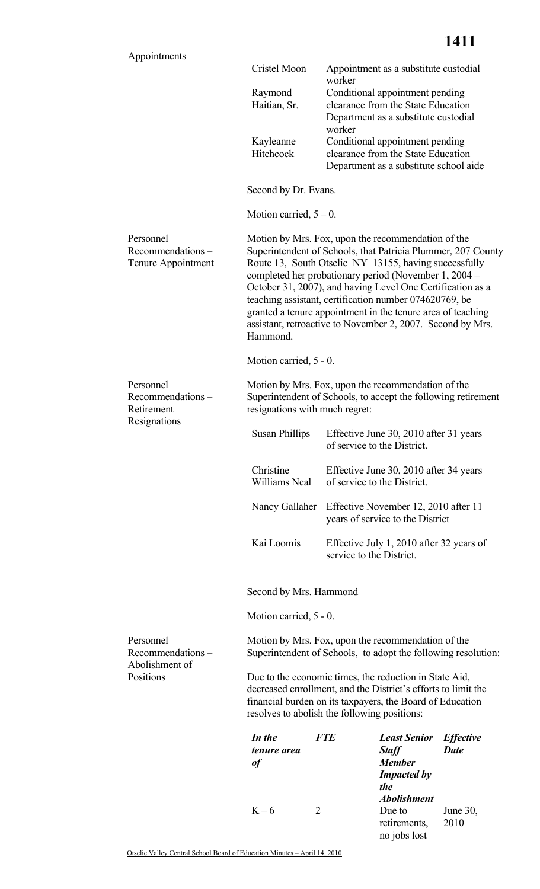|                                                     |                                                                                                                                                                                                                                                                                                                                                                                                                                                                                                       | ITII                                                                                                                      |  |
|-----------------------------------------------------|-------------------------------------------------------------------------------------------------------------------------------------------------------------------------------------------------------------------------------------------------------------------------------------------------------------------------------------------------------------------------------------------------------------------------------------------------------------------------------------------------------|---------------------------------------------------------------------------------------------------------------------------|--|
| Appointments                                        | Cristel Moon                                                                                                                                                                                                                                                                                                                                                                                                                                                                                          | Appointment as a substitute custodial<br>worker                                                                           |  |
|                                                     | Raymond<br>Haitian, Sr.                                                                                                                                                                                                                                                                                                                                                                                                                                                                               | Conditional appointment pending<br>clearance from the State Education<br>Department as a substitute custodial             |  |
|                                                     | Kayleanne<br>Hitchcock                                                                                                                                                                                                                                                                                                                                                                                                                                                                                | worker<br>Conditional appointment pending<br>clearance from the State Education<br>Department as a substitute school aide |  |
|                                                     | Second by Dr. Evans.                                                                                                                                                                                                                                                                                                                                                                                                                                                                                  |                                                                                                                           |  |
|                                                     | Motion carried, $5 - 0$ .                                                                                                                                                                                                                                                                                                                                                                                                                                                                             |                                                                                                                           |  |
| Personnel<br>Recommendations-<br>Tenure Appointment | Motion by Mrs. Fox, upon the recommendation of the<br>Superintendent of Schools, that Patricia Plummer, 207 County<br>Route 13, South Otselic NY 13155, having successfully<br>completed her probationary period (November 1, 2004 –<br>October 31, 2007), and having Level One Certification as a<br>teaching assistant, certification number 074620769, be<br>granted a tenure appointment in the tenure area of teaching<br>assistant, retroactive to November 2, 2007. Second by Mrs.<br>Hammond. |                                                                                                                           |  |
|                                                     | Motion carried, 5 - 0.                                                                                                                                                                                                                                                                                                                                                                                                                                                                                |                                                                                                                           |  |
| Personnel<br>Recommendations-<br>Retirement         | resignations with much regret:                                                                                                                                                                                                                                                                                                                                                                                                                                                                        | Motion by Mrs. Fox, upon the recommendation of the<br>Superintendent of Schools, to accept the following retirement       |  |
| Resignations                                        | <b>Susan Phillips</b>                                                                                                                                                                                                                                                                                                                                                                                                                                                                                 | Effective June 30, 2010 after 31 years<br>of service to the District.                                                     |  |
|                                                     | Christine<br>Williams Neal                                                                                                                                                                                                                                                                                                                                                                                                                                                                            | Effective June 30, 2010 after 34 years<br>of service to the District.                                                     |  |
|                                                     | Nancy Gallaher                                                                                                                                                                                                                                                                                                                                                                                                                                                                                        | Effective November 12, 2010 after 11<br>years of service to the District                                                  |  |
|                                                     | Kai Loomis                                                                                                                                                                                                                                                                                                                                                                                                                                                                                            | Effective July 1, 2010 after 32 years of<br>service to the District.                                                      |  |
|                                                     | Second by Mrs. Hammond                                                                                                                                                                                                                                                                                                                                                                                                                                                                                |                                                                                                                           |  |
|                                                     | Motion carried, 5 - 0.                                                                                                                                                                                                                                                                                                                                                                                                                                                                                |                                                                                                                           |  |
| Personnel<br>Recommendations-<br>Abolishment of     |                                                                                                                                                                                                                                                                                                                                                                                                                                                                                                       | Motion by Mrs. Fox, upon the recommendation of the<br>Superintendent of Schools, to adopt the following resolution:       |  |

Due to the economic times, the reduction in State Aid, decreased enrollment, and the District's efforts to limit the financial burden on its taxpayers, the Board of Education resolves to abolish the following positions:

| In the<br>tenure area<br>of | <b>FTE</b> | <b>Least Senior</b><br><b>Staff</b><br><b>Member</b>          | <b>Effective</b><br><b>Date</b> |
|-----------------------------|------------|---------------------------------------------------------------|---------------------------------|
|                             |            | <b>Impacted by</b><br><i>the</i><br><i><b>Abolishment</b></i> |                                 |
| $K-6$                       |            | Due to<br>retirements,<br>no jobs lost                        | June 30,<br>2010                |

Positions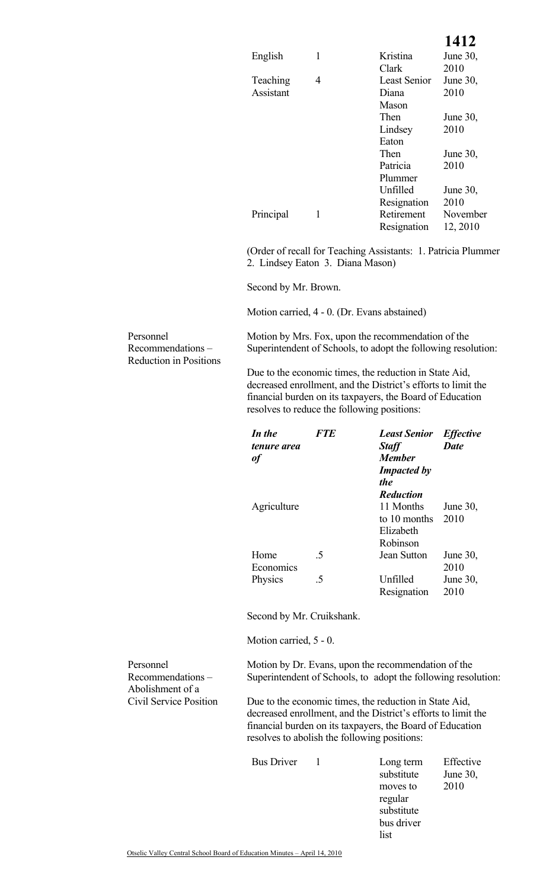## **1412**

| English   |   | Kristina            | June $30$ , |
|-----------|---|---------------------|-------------|
|           |   | Clark               | 2010        |
| Teaching  | 4 | <b>Least Senior</b> | June $30$ , |
| Assistant |   | Diana               | 2010        |
|           |   | Mason               |             |
|           |   | Then                | June $30$ , |
|           |   | Lindsey             | 2010        |
|           |   | Eaton               |             |
|           |   | Then                | June 30,    |
|           |   | Patricia            | 2010        |
|           |   | Plummer             |             |
|           |   | Unfilled            | June $30$ , |
|           |   | Resignation         | 2010        |
| Principal |   | Retirement          | November    |
|           |   | Resignation         | 12, 2010    |

(Order of recall for Teaching Assistants: 1. Patricia Plummer 2. Lindsey Eaton 3. Diana Mason)

Second by Mr. Brown.

Motion carried, 4 - 0. (Dr. Evans abstained)

Personnel Recommendations – Reduction in Positions

Personnel

Recommendations – Abolishment of a Civil Service Position  Motion by Mrs. Fox, upon the recommendation of the Superintendent of Schools, to adopt the following resolution:

Due to the economic times, the reduction in State Aid, decreased enrollment, and the District's efforts to limit the financial burden on its taxpayers, the Board of Education resolves to reduce the following positions:

| In the<br>tenure area<br>ot | <b>FTE</b>               | <b>Least Senior</b><br><b>Staff</b><br><b>Member</b><br><b>Impacted by</b><br><i>the</i><br><b>Reduction</b> | <b>Effective</b><br><b>Date</b> |
|-----------------------------|--------------------------|--------------------------------------------------------------------------------------------------------------|---------------------------------|
| Agriculture                 |                          | 11 Months<br>to 10 months<br>Elizabeth<br>Robinson                                                           | June 30,<br>2010                |
| Home<br>Economics           | $\overline{5}$           | Jean Sutton                                                                                                  | June $30$ ,<br>2010             |
| <b>Physics</b>              | $\overline{\mathcal{L}}$ | Unfilled<br>Resignation                                                                                      | June $30$ ,<br>2010             |

Second by Mr. Cruikshank.

Motion carried, 5 - 0.

 Motion by Dr. Evans, upon the recommendation of the Superintendent of Schools, to adopt the following resolution:

Due to the economic times, the reduction in State Aid, decreased enrollment, and the District's efforts to limit the financial burden on its taxpayers, the Board of Education resolves to abolish the following positions:

Bus Driver 1

| Long term  | Effective |
|------------|-----------|
| substitute | June 30,  |
| moves to   | 2010      |
| regular    |           |
| substitute |           |
| bus driver |           |
| list       |           |

Otselic Valley Central School Board of Education Minutes – April 14, 2010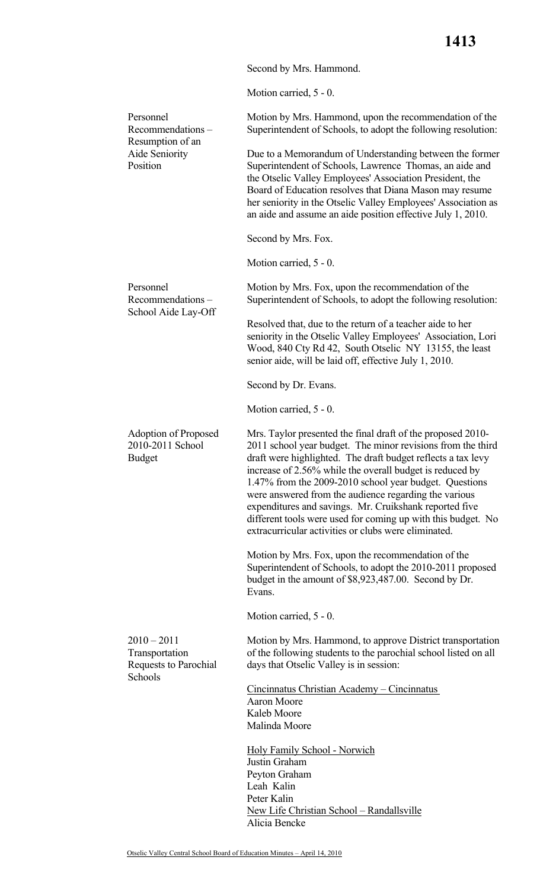Second by Mrs. Hammond.

Motion carried, 5 - 0.

| Personnel<br>Recommendations-                             | Motion by Mrs. Hammond, upon the recommendation of the<br>Superintendent of Schools, to adopt the following resolution:                                                                                                                                                                                                                                                                                                                                                                                                                                     |
|-----------------------------------------------------------|-------------------------------------------------------------------------------------------------------------------------------------------------------------------------------------------------------------------------------------------------------------------------------------------------------------------------------------------------------------------------------------------------------------------------------------------------------------------------------------------------------------------------------------------------------------|
| Aide Seniority<br>Position                                | Due to a Memorandum of Understanding between the former<br>Superintendent of Schools, Lawrence Thomas, an aide and<br>the Otselic Valley Employees' Association President, the<br>Board of Education resolves that Diana Mason may resume<br>her seniority in the Otselic Valley Employees' Association as<br>an aide and assume an aide position effective July 1, 2010.                                                                                                                                                                                   |
|                                                           | Second by Mrs. Fox.                                                                                                                                                                                                                                                                                                                                                                                                                                                                                                                                         |
|                                                           | Motion carried, 5 - 0.                                                                                                                                                                                                                                                                                                                                                                                                                                                                                                                                      |
| Personnel<br>Recommendations-                             | Motion by Mrs. Fox, upon the recommendation of the<br>Superintendent of Schools, to adopt the following resolution:                                                                                                                                                                                                                                                                                                                                                                                                                                         |
|                                                           | Resolved that, due to the return of a teacher aide to her<br>seniority in the Otselic Valley Employees' Association, Lori<br>Wood, 840 Cty Rd 42, South Otselic NY 13155, the least<br>senior aide, will be laid off, effective July 1, 2010.                                                                                                                                                                                                                                                                                                               |
|                                                           | Second by Dr. Evans.                                                                                                                                                                                                                                                                                                                                                                                                                                                                                                                                        |
|                                                           | Motion carried, 5 - 0.                                                                                                                                                                                                                                                                                                                                                                                                                                                                                                                                      |
| Adoption of Proposed<br>2010-2011 School<br><b>Budget</b> | Mrs. Taylor presented the final draft of the proposed 2010-<br>2011 school year budget. The minor revisions from the third<br>draft were highlighted. The draft budget reflects a tax levy<br>increase of 2.56% while the overall budget is reduced by<br>1.47% from the 2009-2010 school year budget. Questions<br>were answered from the audience regarding the various<br>expenditures and savings. Mr. Cruikshank reported five<br>different tools were used for coming up with this budget. No<br>extracurricular activities or clubs were eliminated. |
|                                                           | Motion by Mrs. Fox, upon the recommendation of the<br>Superintendent of Schools, to adopt the 2010-2011 proposed<br>budget in the amount of \$8,923,487.00. Second by Dr.<br>Evans.                                                                                                                                                                                                                                                                                                                                                                         |
|                                                           | Motion carried, 5 - 0.                                                                                                                                                                                                                                                                                                                                                                                                                                                                                                                                      |
| $2010 - 2011$<br>Transportation<br>Requests to Parochial  | Motion by Mrs. Hammond, to approve District transportation<br>of the following students to the parochial school listed on all<br>days that Otselic Valley is in session:                                                                                                                                                                                                                                                                                                                                                                                    |
|                                                           | Cincinnatus Christian Academy – Cincinnatus<br>Aaron Moore<br>Kaleb Moore<br>Malinda Moore                                                                                                                                                                                                                                                                                                                                                                                                                                                                  |
|                                                           | <b>Holy Family School - Norwich</b><br>Justin Graham<br>Peyton Graham<br>Leah Kalin<br>Peter Kalin<br>New Life Christian School - Randallsville<br>Alicia Bencke                                                                                                                                                                                                                                                                                                                                                                                            |
|                                                           | Resumption of an<br>School Aide Lay-Off<br>Schools                                                                                                                                                                                                                                                                                                                                                                                                                                                                                                          |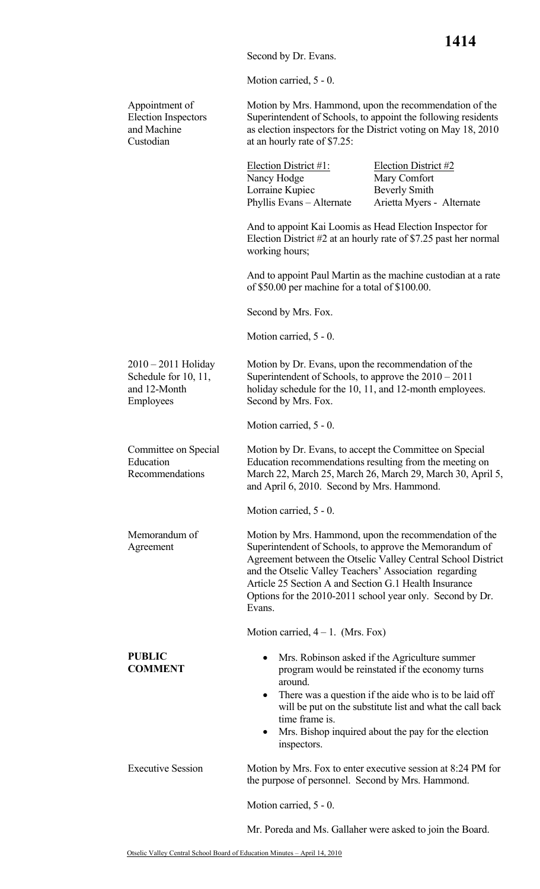Second by Dr. Evans.

Motion carried, 5 - 0.

Appointment of Election Inspectors and Machine Custodian Motion by Mrs. Hammond, upon the recommendation of the Superintendent of Schools, to appoint the following residents as election inspectors for the District voting on May 18, 2010 at an hourly rate of \$7.25: Election District  $#1$ : Election District  $#2$ Nancy Hodge Mary Comfort Lorraine Kupiec Beverly Smith Phyllis Evans – Alternate Arietta Myers - Alternate And to appoint Kai Loomis as Head Election Inspector for Election District #2 at an hourly rate of \$7.25 past her normal working hours; And to appoint Paul Martin as the machine custodian at a rate of \$50.00 per machine for a total of \$100.00. Second by Mrs. Fox. Motion carried, 5 - 0. 2010 – 2011 Holiday Schedule for 10, 11, and 12-Month Employees Motion by Dr. Evans, upon the recommendation of the Superintendent of Schools, to approve the 2010 – 2011 holiday schedule for the 10, 11, and 12-month employees. Second by Mrs. Fox. Motion carried, 5 - 0. Committee on Special Education Recommendations Motion by Dr. Evans, to accept the Committee on Special Education recommendations resulting from the meeting on March 22, March 25, March 26, March 29, March 30, April 5, and April 6, 2010. Second by Mrs. Hammond. Motion carried, 5 - 0. Memorandum of Agreement Motion by Mrs. Hammond, upon the recommendation of the Superintendent of Schools, to approve the Memorandum of Agreement between the Otselic Valley Central School District and the Otselic Valley Teachers' Association regarding Article 25 Section A and Section G.1 Health Insurance Options for the 2010-2011 school year only. Second by Dr. Evans. Motion carried,  $4 - 1$ . (Mrs. Fox) **PUBLIC COMMENT**  • Mrs. Robinson asked if the Agriculture summer program would be reinstated if the economy turns around. • There was a question if the aide who is to be laid off will be put on the substitute list and what the call back time frame is. Mrs. Bishop inquired about the pay for the election inspectors. Executive Session Motion by Mrs. Fox to enter executive session at 8:24 PM for the purpose of personnel. Second by Mrs. Hammond. Motion carried, 5 - 0. Mr. Poreda and Ms. Gallaher were asked to join the Board.